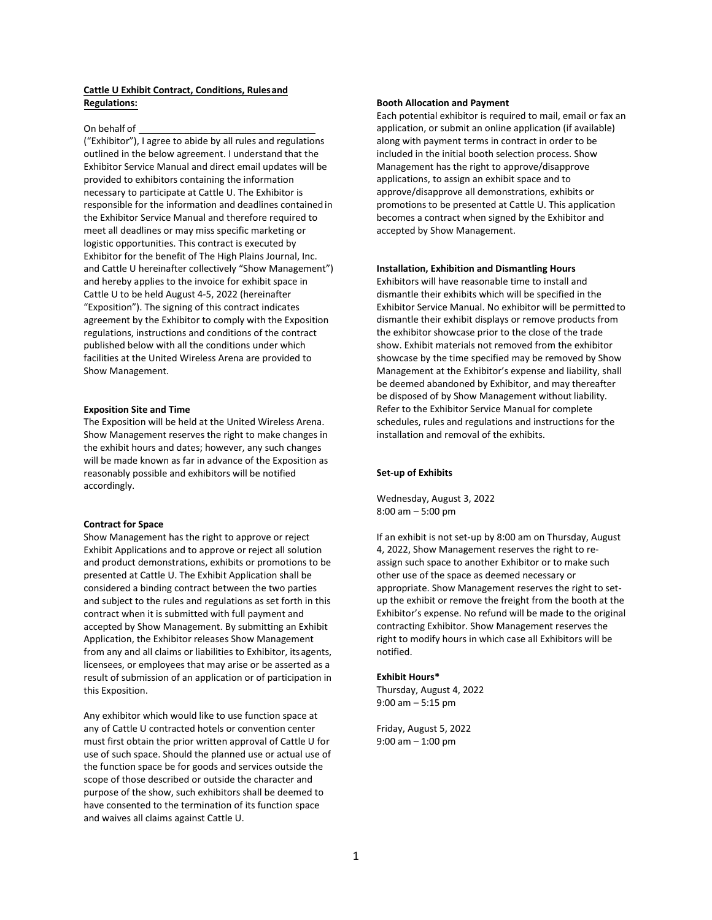# **Cattle U Exhibit Contract, Conditions, Rulesand Regulations:**

### On behalf of

("Exhibitor"), I agree to abide by all rules and regulations outlined in the below agreement. I understand that the Exhibitor Service Manual and direct email updates will be provided to exhibitors containing the information necessary to participate at Cattle U. The Exhibitor is responsible for the information and deadlines contained in the Exhibitor Service Manual and therefore required to meet all deadlines or may miss specific marketing or logistic opportunities. This contract is executed by Exhibitor for the benefit of The High Plains Journal, Inc. and Cattle U hereinafter collectively "Show Management") and hereby applies to the invoice for exhibit space in Cattle U to be held August 4-5, 2022 (hereinafter "Exposition"). The signing of this contract indicates agreement by the Exhibitor to comply with the Exposition regulations, instructions and conditions of the contract published below with all the conditions under which facilities at the United Wireless Arena are provided to Show Management.

### **Exposition Site and Time**

The Exposition will be held at the United Wireless Arena. Show Management reserves the right to make changes in the exhibit hours and dates; however, any such changes will be made known as far in advance of the Exposition as reasonably possible and exhibitors will be notified accordingly.

# **Contract for Space**

Show Management has the right to approve or reject Exhibit Applications and to approve or reject all solution and product demonstrations, exhibits or promotions to be presented at Cattle U. The Exhibit Application shall be considered a binding contract between the two parties and subject to the rules and regulations as set forth in this contract when it is submitted with full payment and accepted by Show Management. By submitting an Exhibit Application, the Exhibitor releases Show Management from any and all claims or liabilities to Exhibitor, itsagents, licensees, or employees that may arise or be asserted as a result of submission of an application or of participation in this Exposition.

Any exhibitor which would like to use function space at any of Cattle U contracted hotels or convention center must first obtain the prior written approval of Cattle U for use of such space. Should the planned use or actual use of the function space be for goods and services outside the scope of those described or outside the character and purpose of the show, such exhibitors shall be deemed to have consented to the termination of its function space and waives all claims against Cattle U.

### **Booth Allocation and Payment**

Each potential exhibitor is required to mail, email or fax an application, or submit an online application (if available) along with payment terms in contract in order to be included in the initial booth selection process. Show Management has the right to approve/disapprove applications, to assign an exhibit space and to approve/disapprove all demonstrations, exhibits or promotions to be presented at Cattle U. This application becomes a contract when signed by the Exhibitor and accepted by Show Management.

### **Installation, Exhibition and Dismantling Hours**

Exhibitors will have reasonable time to install and dismantle their exhibits which will be specified in the Exhibitor Service Manual. No exhibitor will be permittedto dismantle their exhibit displays or remove products from the exhibitor showcase prior to the close of the trade show. Exhibit materials not removed from the exhibitor showcase by the time specified may be removed by Show Management at the Exhibitor's expense and liability, shall be deemed abandoned by Exhibitor, and may thereafter be disposed of by Show Management without liability. Refer to the Exhibitor Service Manual for complete schedules, rules and regulations and instructions for the installation and removal of the exhibits.

# **Set-up of Exhibits**

Wednesday, August 3, 2022 8:00 am – 5:00 pm

If an exhibit is not set-up by 8:00 am on Thursday, August 4, 2022, Show Management reserves the right to reassign such space to another Exhibitor or to make such other use of the space as deemed necessary or appropriate. Show Management reserves the right to setup the exhibit or remove the freight from the booth at the Exhibitor's expense. No refund will be made to the original contracting Exhibitor. Show Management reserves the right to modify hours in which case all Exhibitors will be notified.

# **Exhibit Hours\***

Thursday, August 4, 2022 9:00 am – 5:15 pm

Friday, August 5, 2022 9:00 am – 1:00 pm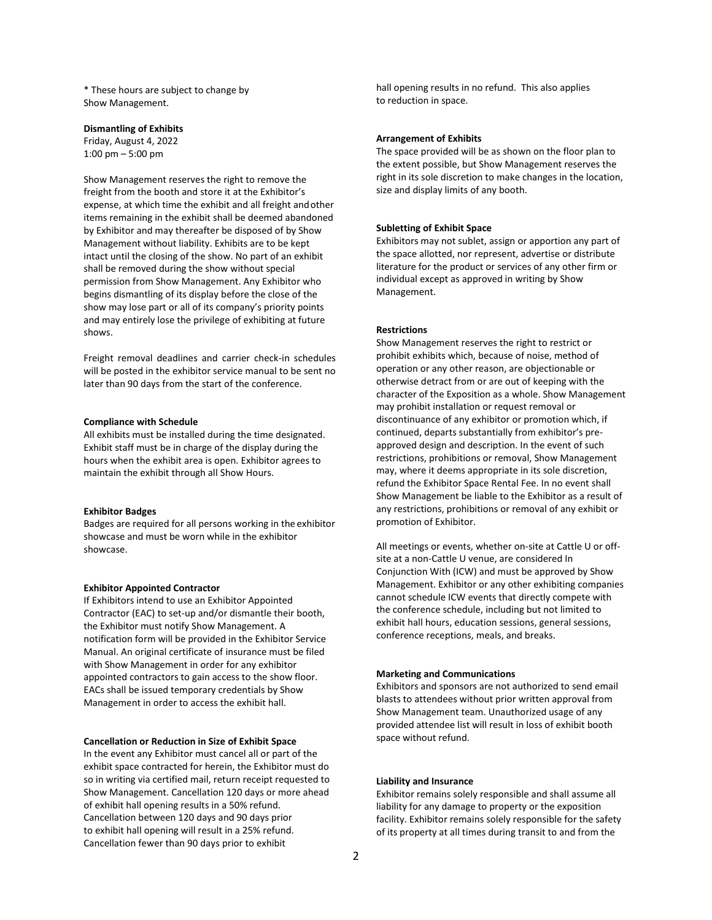\* These hours are subject to change by Show Management.

### **Dismantling of Exhibits**

Friday, August 4, 2022 1:00 pm – 5:00 pm

Show Management reserves the right to remove the freight from the booth and store it at the Exhibitor's expense, at which time the exhibit and all freight andother items remaining in the exhibit shall be deemed abandoned by Exhibitor and may thereafter be disposed of by Show Management without liability. Exhibits are to be kept intact until the closing of the show. No part of an exhibit shall be removed during the show without special permission from Show Management. Any Exhibitor who begins dismantling of its display before the close of the show may lose part or all of its company's priority points and may entirely lose the privilege of exhibiting at future shows.

Freight removal deadlines and carrier check-in schedules will be posted in the exhibitor service manual to be sent no later than 90 days from the start of the conference.

### **Compliance with Schedule**

All exhibits must be installed during the time designated. Exhibit staff must be in charge of the display during the hours when the exhibit area is open. Exhibitor agrees to maintain the exhibit through all Show Hours.

#### **Exhibitor Badges**

Badges are required for all persons working in the exhibitor showcase and must be worn while in the exhibitor showcase.

#### **Exhibitor Appointed Contractor**

If Exhibitors intend to use an Exhibitor Appointed Contractor (EAC) to set-up and/or dismantle their booth, the Exhibitor must notify Show Management. A notification form will be provided in the Exhibitor Service Manual. An original certificate of insurance must be filed with Show Management in order for any exhibitor appointed contractors to gain access to the show floor. EACs shall be issued temporary credentials by Show Management in order to access the exhibit hall.

### **Cancellation or Reduction in Size of Exhibit Space**

In the event any Exhibitor must cancel all or part of the exhibit space contracted for herein, the Exhibitor must do so in writing via certified mail, return receipt requested to Show Management. Cancellation 120 days or more ahead of exhibit hall opening results in a 50% refund. Cancellation between 120 days and 90 days prior to exhibit hall opening will result in a 25% refund. Cancellation fewer than 90 days prior to exhibit

hall opening results in no refund. This also applies to reduction in space.

#### **Arrangement of Exhibits**

The space provided will be as shown on the floor plan to the extent possible, but Show Management reserves the right in its sole discretion to make changes in the location, size and display limits of any booth.

# **Subletting of Exhibit Space**

Exhibitors may not sublet, assign or apportion any part of the space allotted, nor represent, advertise or distribute literature for the product or services of any other firm or individual except as approved in writing by Show Management.

### **Restrictions**

Show Management reserves the right to restrict or prohibit exhibits which, because of noise, method of operation or any other reason, are objectionable or otherwise detract from or are out of keeping with the character of the Exposition as a whole. Show Management may prohibit installation or request removal or discontinuance of any exhibitor or promotion which, if continued, departs substantially from exhibitor's preapproved design and description. In the event of such restrictions, prohibitions or removal, Show Management may, where it deems appropriate in its sole discretion, refund the Exhibitor Space Rental Fee. In no event shall Show Management be liable to the Exhibitor as a result of any restrictions, prohibitions or removal of any exhibit or promotion of Exhibitor.

All meetings or events, whether on-site at Cattle U or offsite at a non-Cattle U venue, are considered In Conjunction With (ICW) and must be approved by Show Management. Exhibitor or any other exhibiting companies cannot schedule ICW events that directly compete with the conference schedule, including but not limited to exhibit hall hours, education sessions, general sessions, conference receptions, meals, and breaks.

#### **Marketing and Communications**

Exhibitors and sponsors are not authorized to send email blasts to attendees without prior written approval from Show Management team. Unauthorized usage of any provided attendee list will result in loss of exhibit booth space without refund.

### **Liability and Insurance**

Exhibitor remains solely responsible and shall assume all liability for any damage to property or the exposition facility. Exhibitor remains solely responsible for the safety of its property at all times during transit to and from the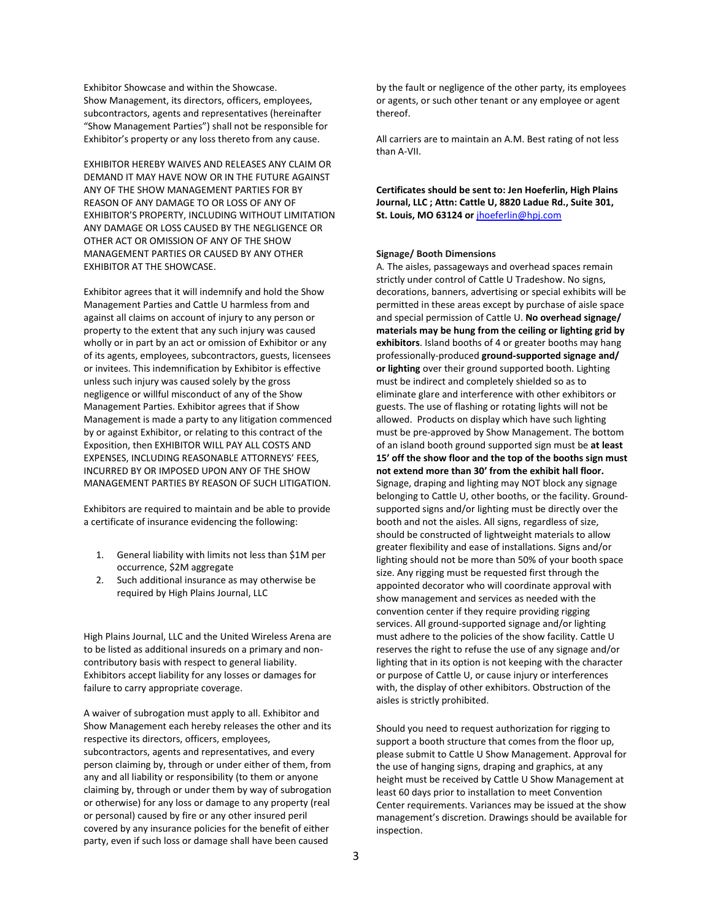Exhibitor Showcase and within the Showcase. Show Management, its directors, officers, employees, subcontractors, agents and representatives (hereinafter "Show Management Parties") shall not be responsible for Exhibitor's property or any loss thereto from any cause.

EXHIBITOR HEREBY WAIVES AND RELEASES ANY CLAIM OR DEMAND IT MAY HAVE NOW OR IN THE FUTURE AGAINST ANY OF THE SHOW MANAGEMENT PARTIES FOR BY REASON OF ANY DAMAGE TO OR LOSS OF ANY OF EXHIBITOR'S PROPERTY, INCLUDING WITHOUT LIMITATION ANY DAMAGE OR LOSS CAUSED BY THE NEGLIGENCE OR OTHER ACT OR OMISSION OF ANY OF THE SHOW MANAGEMENT PARTIES OR CAUSED BY ANY OTHER EXHIBITOR AT THE SHOWCASE.

Exhibitor agrees that it will indemnify and hold the Show Management Parties and Cattle U harmless from and against all claims on account of injury to any person or property to the extent that any such injury was caused wholly or in part by an act or omission of Exhibitor or any of its agents, employees, subcontractors, guests, licensees or invitees. This indemnification by Exhibitor is effective unless such injury was caused solely by the gross negligence or willful misconduct of any of the Show Management Parties. Exhibitor agrees that if Show Management is made a party to any litigation commenced by or against Exhibitor, or relating to this contract of the Exposition, then EXHIBITOR WILL PAY ALL COSTS AND EXPENSES, INCLUDING REASONABLE ATTORNEYS' FEES, INCURRED BY OR IMPOSED UPON ANY OF THE SHOW MANAGEMENT PARTIES BY REASON OF SUCH LITIGATION.

Exhibitors are required to maintain and be able to provide a certificate of insurance evidencing the following:

- 1. General liability with limits not less than \$1M per occurrence, \$2M aggregate
- 2. Such additional insurance as may otherwise be required by High Plains Journal, LLC

High Plains Journal, LLC and the United Wireless Arena are to be listed as additional insureds on a primary and noncontributory basis with respect to general liability. Exhibitors accept liability for any losses or damages for failure to carry appropriate coverage.

A waiver of subrogation must apply to all. Exhibitor and Show Management each hereby releases the other and its respective its directors, officers, employees, subcontractors, agents and representatives, and every person claiming by, through or under either of them, from any and all liability or responsibility (to them or anyone claiming by, through or under them by way of subrogation or otherwise) for any loss or damage to any property (real or personal) caused by fire or any other insured peril covered by any insurance policies for the benefit of either party, even if such loss or damage shall have been caused

by the fault or negligence of the other party, its employees or agents, or such other tenant or any employee or agent thereof.

All carriers are to maintain an A.M. Best rating of not less than A-VII.

**Certificates should be sent to: Jen Hoeferlin, High Plains Journal, LLC ; Attn: Cattle U, 8820 Ladue Rd., Suite 301, St. Louis, MO 63124 or** [jhoeferlin@hpj.com](mailto:wtrowbridge@hpj.com)

# **Signage/ Booth Dimensions**

A. The aisles, passageways and overhead spaces remain strictly under control of Cattle U Tradeshow. No signs, decorations, banners, advertising or special exhibits will be permitted in these areas except by purchase of aisle space and special permission of Cattle U. **No overhead signage/ materials may be hung from the ceiling or lighting grid by exhibitors**. Island booths of 4 or greater booths may hang professionally-produced **ground-supported signage and/ or lighting** over their ground supported booth. Lighting must be indirect and completely shielded so as to eliminate glare and interference with other exhibitors or guests. The use of flashing or rotating lights will not be allowed. Products on display which have such lighting must be pre-approved by Show Management. The bottom of an island booth ground supported sign must be **at least 15' off the show floor and the top of the booths sign must not extend more than 30' from the exhibit hall floor.**  Signage, draping and lighting may NOT block any signage belonging to Cattle U, other booths, or the facility. Groundsupported signs and/or lighting must be directly over the booth and not the aisles. All signs, regardless of size, should be constructed of lightweight materials to allow greater flexibility and ease of installations. Signs and/or lighting should not be more than 50% of your booth space size. Any rigging must be requested first through the appointed decorator who will coordinate approval with show management and services as needed with the convention center if they require providing rigging services. All ground-supported signage and/or lighting must adhere to the policies of the show facility. Cattle U reserves the right to refuse the use of any signage and/or lighting that in its option is not keeping with the character or purpose of Cattle U, or cause injury or interferences with, the display of other exhibitors. Obstruction of the aisles is strictly prohibited.

Should you need to request authorization for rigging to support a booth structure that comes from the floor up, please submit to Cattle U Show Management. Approval for the use of hanging signs, draping and graphics, at any height must be received by Cattle U Show Management at least 60 days prior to installation to meet Convention Center requirements. Variances may be issued at the show management's discretion. Drawings should be available for inspection.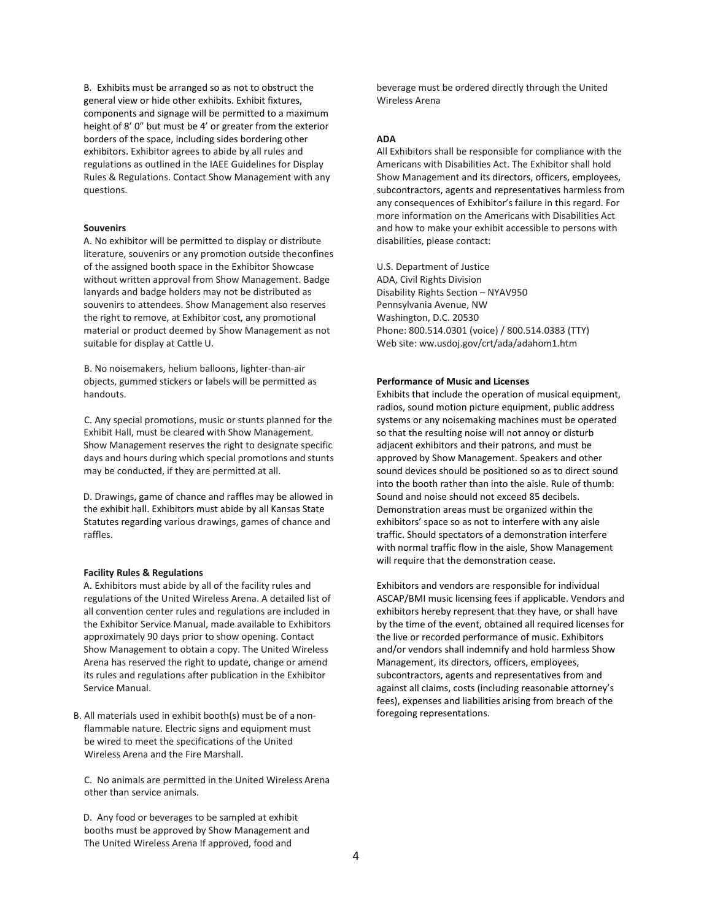B. Exhibits must be arranged so as not to obstruct the general view or hide other exhibits. Exhibit fixtures, components and signage will be permitted to a maximum height of 8' 0" but must be 4' or greater from the exterior borders of the space, including sides bordering other exhibitors. Exhibitor agrees to abide by all rules and regulations as outlined in the IAEE Guidelines for Display Rules & Regulations. Contact Show Management with any questions.

### **Souvenirs**

A. No exhibitor will be permitted to display or distribute literature, souvenirs or any promotion outside theconfines of the assigned booth space in the Exhibitor Showcase without written approval from Show Management. Badge lanyards and badge holders may not be distributed as souvenirs to attendees. Show Management also reserves the right to remove, at Exhibitor cost, any promotional material or product deemed by Show Management as not suitable for display at Cattle U.

B. No noisemakers, helium balloons, lighter-than-air objects, gummed stickers or labels will be permitted as handouts.

C. Any special promotions, music or stunts planned for the Exhibit Hall, must be cleared with Show Management. Show Management reserves the right to designate specific days and hours during which special promotions and stunts may be conducted, if they are permitted at all.

D. Drawings, game of chance and raffles may be allowed in the exhibit hall. Exhibitors must abide by all Kansas State Statutes regarding various drawings, games of chance and raffles.

### **Facility Rules & Regulations**

A. Exhibitors must abide by all of the facility rules and regulations of the United Wireless Arena. A detailed list of all convention center rules and regulations are included in the Exhibitor Service Manual, made available to Exhibitors approximately 90 days prior to show opening. Contact Show Management to obtain a copy. The United Wireless Arena has reserved the right to update, change or amend its rules and regulations after publication in the Exhibitor Service Manual.

B. All materials used in exhibit booth(s) must be of a nonflammable nature. Electric signs and equipment must be wired to meet the specifications of the United Wireless Arena and the Fire Marshall.

C. No animals are permitted in the United Wireless Arena other than service animals.

D. Any food or beverages to be sampled at exhibit booths must be approved by Show Management and The United Wireless Arena If approved, food and

beverage must be ordered directly through the United Wireless Arena

# **ADA**

All Exhibitors shall be responsible for compliance with the Americans with Disabilities Act. The Exhibitor shall hold Show Management and its directors, officers, employees, subcontractors, agents and representatives harmless from any consequences of Exhibitor's failure in this regard. For more information on the Americans with Disabilities Act and how to make your exhibit accessible to persons with disabilities, please contact:

U.S. Department of Justice ADA, Civil Rights Division Disability Rights Section – NYAV950 Pennsylvania Avenue, NW Washington, D.C. 20530 Phone: 800.514.0301 (voice) / 800.514.0383 (TTY) Web site: ww.usdoj.gov/crt/ada/adahom1.htm

### **Performance of Music and Licenses**

Exhibits that include the operation of musical equipment, radios, sound motion picture equipment, public address systems or any noisemaking machines must be operated so that the resulting noise will not annoy or disturb adjacent exhibitors and their patrons, and must be approved by Show Management. Speakers and other sound devices should be positioned so as to direct sound into the booth rather than into the aisle. Rule of thumb: Sound and noise should not exceed 85 decibels. Demonstration areas must be organized within the exhibitors' space so as not to interfere with any aisle traffic. Should spectators of a demonstration interfere with normal traffic flow in the aisle, Show Management will require that the demonstration cease.

Exhibitors and vendors are responsible for individual ASCAP/BMI music licensing fees if applicable. Vendors and exhibitors hereby represent that they have, or shall have by the time of the event, obtained all required licenses for the live or recorded performance of music. Exhibitors and/or vendors shall indemnify and hold harmless Show Management, its directors, officers, employees, subcontractors, agents and representatives from and against all claims, costs (including reasonable attorney's fees), expenses and liabilities arising from breach of the foregoing representations.